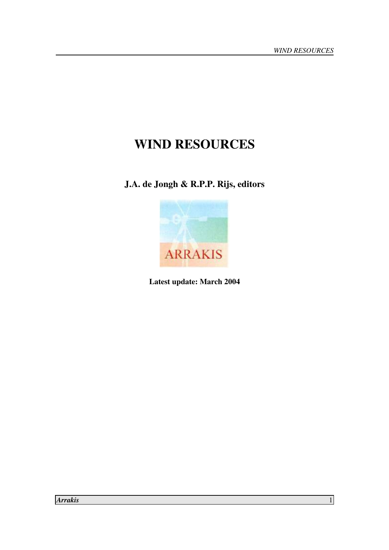# **WIND RESOURCES**

**J.A. de Jongh & R.P.P. Rijs, editors** 



**Latest update: March 2004**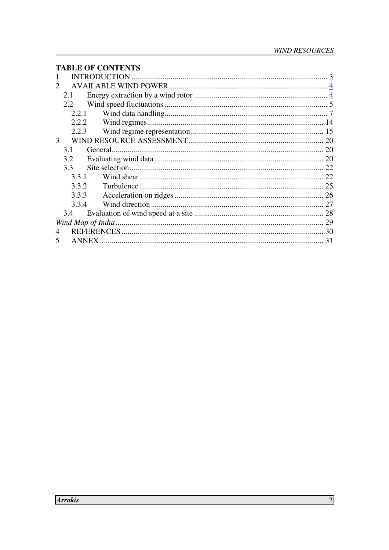#### **TABLE OF CONTENTS**

| $\mathcal{D}_{\mathcal{L}}$ |              |    |
|-----------------------------|--------------|----|
|                             | 2.1          |    |
|                             | 2.2          |    |
|                             | 2.2.1        |    |
|                             | 2.2.2        |    |
|                             | 2.2.3        |    |
| 3                           |              |    |
|                             | 3.1          |    |
|                             | 3.2          |    |
|                             | 3.3          |    |
|                             | 3.3.1        |    |
|                             | 3.3.2        |    |
|                             | 3.3.3        |    |
|                             | 3.3.4        |    |
|                             | 3.4          |    |
|                             |              |    |
|                             |              | 30 |
|                             | <b>ANNEX</b> | 31 |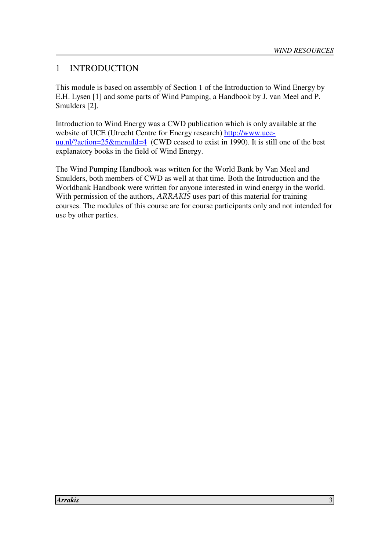## 1 INTRODUCTION

This module is based on assembly of Section 1 of the Introduction to Wind Energy by E.H. Lysen [1] and some parts of Wind Pumping, a Handbook by J. van Meel and P. Smulders [2].

Introduction to Wind Energy was a CWD publication which is only available at the website of UCE (Utrecht Centre for Energy research) http://www.uceuu.nl/?action=25&menuId=4 (CWD ceased to exist in 1990). It is still one of the best explanatory books in the field of Wind Energy.

The Wind Pumping Handbook was written for the World Bank by Van Meel and Smulders, both members of CWD as well at that time. Both the Introduction and the Worldbank Handbook were written for anyone interested in wind energy in the world. With permission of the authors, ARRAKIS uses part of this material for training courses. The modules of this course are for course participants only and not intended for use by other parties.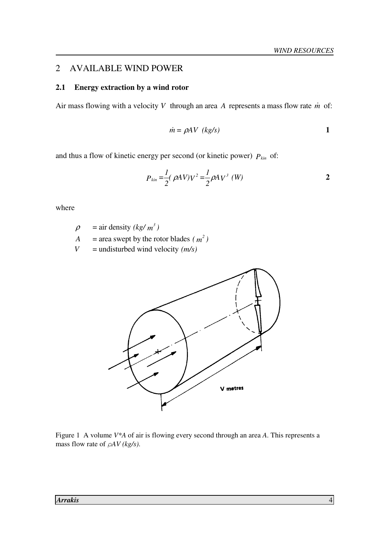#### 2 AVAILABLE WIND POWER

#### **2.1 Energy extraction by a wind rotor**

Air mass flowing with a velocity  $V$  through an area  $A$  represents a mass flow rate  $\dot{m}$  of:

$$
\dot{m} = \rho A V \ (kg/s)
$$
 1

and thus a flow of kinetic energy per second (or kinetic power) *Pkin* of:

$$
P_{kin} = \frac{1}{2} (\rho A V) V^2 = \frac{1}{2} \rho A V^3 \ (W)
$$
 2

where

 $\rho$  = air density *(kg/ m<sup>3</sup>)* 

- $A = \text{area swept by the rotor blades } (m^2)$
- *V* = undisturbed wind velocity  $(m/s)$



Figure 1 A volume *V\*A* of air is flowing every second through an area *A*. This represents a mass flow rate of ρ*AV (kg/s)*.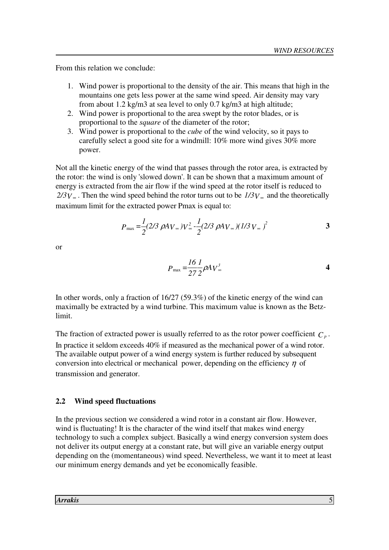From this relation we conclude:

- 1. Wind power is proportional to the density of the air. This means that high in the mountains one gets less power at the same wind speed. Air density may vary from about 1.2 kg/m3 at sea level to only 0.7 kg/m3 at high altitude;
- 2. Wind power is proportional to the area swept by the rotor blades, or is proportional to the *square* of the diameter of the rotor;
- 3. Wind power is proportional to the *cube* of the wind velocity, so it pays to carefully select a good site for a windmill: 10% more wind gives 30% more power.

Not all the kinetic energy of the wind that passes through the rotor area, is extracted by the rotor: the wind is only 'slowed down'. It can be shown that a maximum amount of energy is extracted from the air flow if the wind speed at the rotor itself is reduced to  $2/3V_{\infty}$ . Then the wind speed behind the rotor turns out to be  $1/3V_{\infty}$  and the theoretically maximum limit for the extracted power Pmax is equal to:

$$
P_{\text{max}} = \frac{1}{2} (2/3 \ \rho A_{V_{\infty}}) V_{\infty}^2 - \frac{1}{2} (2/3 \ \rho A_{V_{\infty}}) (1/3 \ V_{\infty})^2
$$

or

$$
P_{\text{max}} = \frac{16}{27} \frac{1}{2} \rho A V_{\infty}^3
$$

In other words, only a fraction of 16/27 (59.3%) of the kinetic energy of the wind can maximally be extracted by a wind turbine. This maximum value is known as the Betzlimit.

The fraction of extracted power is usually referred to as the rotor power coefficient  $C_p$ . In practice it seldom exceeds 40% if measured as the mechanical power of a wind rotor. The available output power of a wind energy system is further reduced by subsequent conversion into electrical or mechanical power, depending on the efficiency  $\eta$  of transmission and generator.

#### **2.2 Wind speed fluctuations**

In the previous section we considered a wind rotor in a constant air flow. However, wind is fluctuating! It is the character of the wind itself that makes wind energy technology to such a complex subject. Basically a wind energy conversion system does not deliver its output energy at a constant rate, but will give an variable energy output depending on the (momentaneous) wind speed. Nevertheless, we want it to meet at least our minimum energy demands and yet be economically feasible.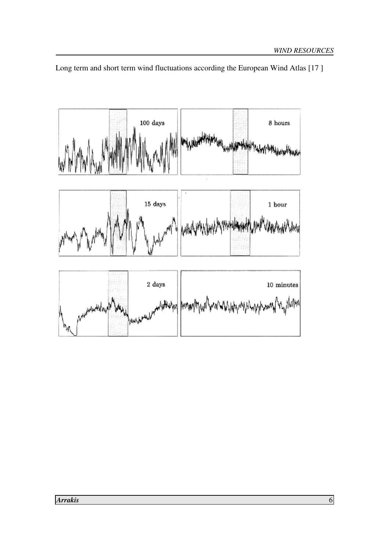

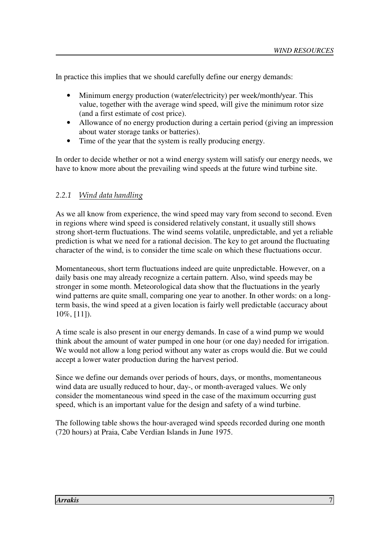In practice this implies that we should carefully define our energy demands:

- Minimum energy production (water/electricity) per week/month/year. This value, together with the average wind speed, will give the minimum rotor size (and a first estimate of cost price).
- Allowance of no energy production during a certain period (giving an impression about water storage tanks or batteries).
- Time of the year that the system is really producing energy.

In order to decide whether or not a wind energy system will satisfy our energy needs, we have to know more about the prevailing wind speeds at the future wind turbine site.

#### 2.2.1 Wind data handling

As we all know from experience, the wind speed may vary from second to second. Even in regions where wind speed is considered relatively constant, it usually still shows strong short-term fluctuations. The wind seems volatile, unpredictable, and yet a reliable prediction is what we need for a rational decision. The key to get around the fluctuating character of the wind, is to consider the time scale on which these fluctuations occur.

Momentaneous, short term fluctuations indeed are quite unpredictable. However, on a daily basis one may already recognize a certain pattern. Also, wind speeds may be stronger in some month. Meteorological data show that the fluctuations in the yearly wind patterns are quite small, comparing one year to another. In other words: on a longterm basis, the wind speed at a given location is fairly well predictable (accuracy about 10%, [11]).

A time scale is also present in our energy demands. In case of a wind pump we would think about the amount of water pumped in one hour (or one day) needed for irrigation. We would not allow a long period without any water as crops would die. But we could accept a lower water production during the harvest period.

Since we define our demands over periods of hours, days, or months, momentaneous wind data are usually reduced to hour, day-, or month-averaged values. We only consider the momentaneous wind speed in the case of the maximum occurring gust speed, which is an important value for the design and safety of a wind turbine.

The following table shows the hour-averaged wind speeds recorded during one month (720 hours) at Praia, Cabe Verdian Islands in June 1975.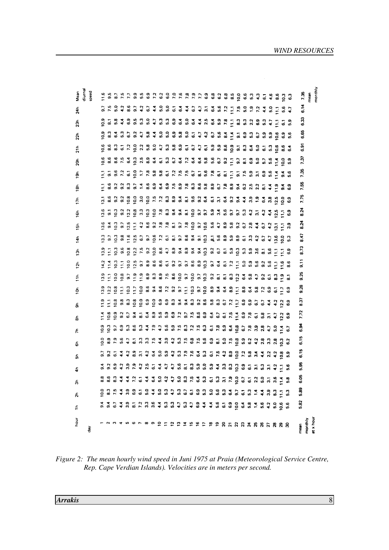| Mean<br>diurnal | ipeed         | Fancicana con a criste de de da Santa 4 de do                                                                                                                                                                                                                           |                |  |  |  |                                               |  |  |  |  |  |  |  |  |  | 7.35           | nean    | monthly   |
|-----------------|---------------|-------------------------------------------------------------------------------------------------------------------------------------------------------------------------------------------------------------------------------------------------------------------------|----------------|--|--|--|-----------------------------------------------|--|--|--|--|--|--|--|--|--|----------------|---------|-----------|
| 24h             |               | <b>いちのなおいないはのの144ワワームおファーでもいいなもいられる するまま あるまる ある ある ある あるまる ある ある アーアストライト</b>                                                                                                                                                                                          |                |  |  |  |                                               |  |  |  |  |  |  |  |  |  | 6.14           |         |           |
| $\frac{5}{2}$   |               | o a n 4 o a n o 4 o 4 o 6 o 6 o 6 4 6 6 6 7 7 8 9 70 8 9 4 7 6 9                                                                                                                                                                                                        |                |  |  |  |                                               |  |  |  |  |  |  |  |  |  | 6.33           |         |           |
| 22h             |               | o a a a co a 4 n 4 n 6 o 6 a 6 c 6 4 4 6 6 9 6 7 6 9 6 9 6 9 6 7 6 7                                                                                                                                                                                                    |                |  |  |  |                                               |  |  |  |  |  |  |  |  |  | 6.65           |         |           |
| 21h             |               | ci a a a r i o dia a 4 n a a ci ci ci ci a a a o r u 4 o r u a a pa a                                                                                                                                                                                                   |                |  |  |  |                                               |  |  |  |  |  |  |  |  |  | Ğ.             |         |           |
| న్లే            |               |                                                                                                                                                                                                                                                                         |                |  |  |  |                                               |  |  |  |  |  |  |  |  |  | 7.37           |         |           |
| $\frac{5}{2}$   |               | F 2 3 2 2 3 5 7 8 9 9 7 7 7 7 8 9 9 7 7 8 9 9 7 8 9 9 7 8 9 9 7 8 9 9 7 8 9 7 9 9 7 9 9 7 9 9 7 9 9 7 9 9 7 9                                                                                                                                                           |                |  |  |  |                                               |  |  |  |  |  |  |  |  |  | 7.35           |         |           |
| $\frac{5}{2}$   |               | I 8 9 9 9 9 7 4 8 9 4 9 4 9 5 6 7 8 9 9 0 7 8 9 7 8 9 7 8 9 7 8 9 7 8 9                                                                                                                                                                                                 |                |  |  |  |                                               |  |  |  |  |  |  |  |  |  | 7.55           |         |           |
| 17h             |               |                                                                                                                                                                                                                                                                         |                |  |  |  |                                               |  |  |  |  |  |  |  |  |  | 7.75           |         |           |
| 16h             |               |                                                                                                                                                                                                                                                                         |                |  |  |  |                                               |  |  |  |  |  |  |  |  |  | 8.24           |         |           |
| 15h             |               |                                                                                                                                                                                                                                                                         |                |  |  |  |                                               |  |  |  |  |  |  |  |  |  | 8.24           |         |           |
| $\frac{4}{14}$  |               | $\vec{a}$ , $\vec{c}$ , $\vec{a}$ , $\vec{c}$ , $\vec{c}$ , $\vec{c}$ , $\vec{c}$ , $\vec{c}$ , $\vec{c}$ , $\vec{c}$ , $\vec{c}$ , $\vec{c}$ , $\vec{c}$ , $\vec{c}$ , $\vec{c}$ , $\vec{c}$ , $\vec{c}$ , $\vec{c}$ , $\vec{c}$ , $\vec{c}$ , $\vec{c}$ , $\vec{c}$ , |                |  |  |  |                                               |  |  |  |  |  |  |  |  |  | 47<br>œ        |         |           |
| $\frac{5}{2}$   |               |                                                                                                                                                                                                                                                                         |                |  |  |  |                                               |  |  |  |  |  |  |  |  |  | 8.73           |         |           |
| 12 <sub>b</sub> |               | $\vec{A}$ is in comparant comparance in the comparation of in the comparation of the comparation of the comparation of the comparation of the comparation of the comparation of the comparation of the comparation of the compa                                         |                |  |  |  |                                               |  |  |  |  |  |  |  |  |  | $\overline{5}$ |         |           |
| $\frac{2}{11}$  |               |                                                                                                                                                                                                                                                                         |                |  |  |  |                                               |  |  |  |  |  |  |  |  |  | 9.25           |         |           |
| $\frac{1}{2}$   |               | a da E da E da se u da E da E da Sana e a E da e e E da E d                                                                                                                                                                                                             |                |  |  |  |                                               |  |  |  |  |  |  |  |  |  | 0.28           |         |           |
| န               |               | F F 5 8 8 5 6 6 6 6 6 6 9 9 9 9 9 9 9 9 9 9 9 7 7 9 9 9 7 7 9 9 9 7 7 9 9 9 7                                                                                                                                                                                           |                |  |  |  |                                               |  |  |  |  |  |  |  |  |  | 8.37           |         |           |
| ౚ               |               |                                                                                                                                                                                                                                                                         |                |  |  |  |                                               |  |  |  |  |  |  |  |  |  | 7.72           |         |           |
| ᄎ               |               |                                                                                                                                                                                                                                                                         |                |  |  |  |                                               |  |  |  |  |  |  |  |  |  | 6.34           |         |           |
| စ်              |               |                                                                                                                                                                                                                                                                         |                |  |  |  |                                               |  |  |  |  |  |  |  |  |  | 6.15           |         |           |
| ۵Ę              |               |                                                                                                                                                                                                                                                                         |                |  |  |  |                                               |  |  |  |  |  |  |  |  |  | 6.15           |         |           |
| 듁               |               |                                                                                                                                                                                                                                                                         |                |  |  |  |                                               |  |  |  |  |  |  |  |  |  | 5.35           |         |           |
| న్              |               | 8 8 8 9 9 9 9 0<br>8 8 8 9 9 9 0                                                                                                                                                                                                                                        |                |  |  |  |                                               |  |  |  |  |  |  |  |  |  | ទី             |         |           |
| న్              |               |                                                                                                                                                                                                                                                                         |                |  |  |  |                                               |  |  |  |  |  |  |  |  |  | 5.89           |         |           |
| €               |               |                                                                                                                                                                                                                                                                         |                |  |  |  |                                               |  |  |  |  |  |  |  |  |  | 5.82           |         |           |
| Joar            | $\frac{1}{6}$ |                                                                                                                                                                                                                                                                         | n 4 m 6 r 60 o |  |  |  | P = P = P = P = P = R 5 5 6 7 8 8 9 5 8 7 8 9 |  |  |  |  |  |  |  |  |  | mean           | monthly | at x hour |

*Figure 2: The mean hourly wind speed in Juni 1975 at Praia (Meteorological Service Centre, Rep. Cape Verdian Islands). Velocities are in meters per second.*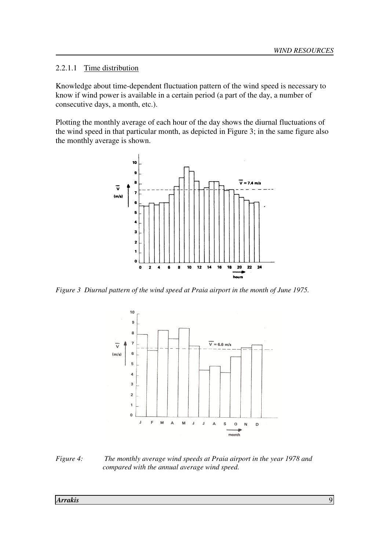2.2.1.1 Time distribution

Knowledge about time-dependent fluctuation pattern of the wind speed is necessary to know if wind power is available in a certain period (a part of the day, a number of consecutive days, a month, etc.).

Plotting the monthly average of each hour of the day shows the diurnal fluctuations of the wind speed in that particular month, as depicted in Figure 3; in the same figure also the monthly average is shown.



*Figure 3 Diurnal pattern of the wind speed at Praia airport in the month of June 1975.* 



*Figure 4: The monthly average wind speeds at Praia airport in the year 1978 and compared with the annual average wind speed.*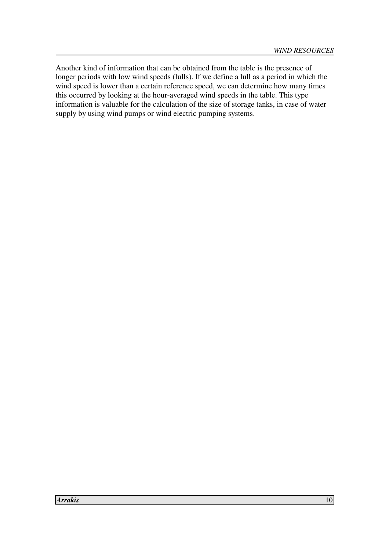Another kind of information that can be obtained from the table is the presence of longer periods with low wind speeds (lulls). If we define a lull as a period in which the wind speed is lower than a certain reference speed, we can determine how many times this occurred by looking at the hour-averaged wind speeds in the table. This type information is valuable for the calculation of the size of storage tanks, in case of water supply by using wind pumps or wind electric pumping systems.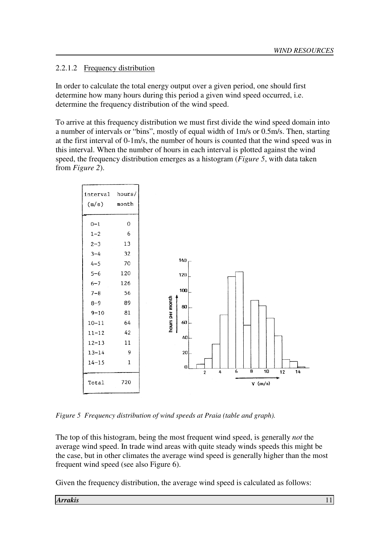#### 2.2.1.2 Frequency distribution

In order to calculate the total energy output over a given period, one should first determine how many hours during this period a given wind speed occurred, i.e. determine the frequency distribution of the wind speed.

To arrive at this frequency distribution we must first divide the wind speed domain into a number of intervals or "bins", mostly of equal width of 1m/s or 0.5m/s. Then, starting at the first interval of 0-1m/s, the number of hours is counted that the wind speed was in this interval. When the number of hours in each interval is plotted against the wind speed, the frequency distribution emerges as a histogram (*Figure 5*, with data taken from *Figure 2*).



*Figure 5 Frequency distribution of wind speeds at Praia (table and graph).* 

The top of this histogram, being the most frequent wind speed, is generally *not* the average wind speed. In trade wind areas with quite steady winds speeds this might be the case, but in other climates the average wind speed is generally higher than the most frequent wind speed (see also Figure 6).

Given the frequency distribution, the average wind speed is calculated as follows: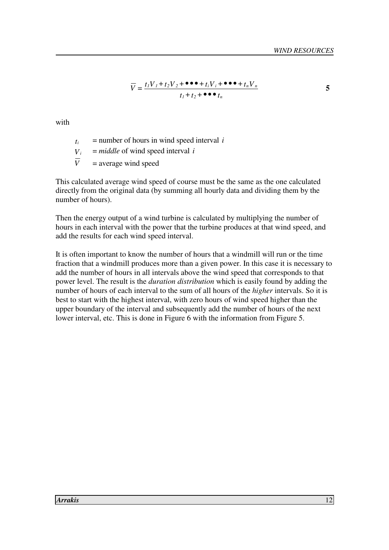$$
\overline{V} = \frac{t_1 V_1 + t_2 V_2 + \bullet \bullet \bullet + t_i V_i + \bullet \bullet \bullet + t_n V_n}{t_1 + t_2 + \bullet \bullet \bullet t_n}
$$

with

- *ti* = number of hours in wind speed interval *i*
- *Vi* = *middle* of wind speed interval *i*

 $\overline{V}$  = average wind speed

This calculated average wind speed of course must be the same as the one calculated directly from the original data (by summing all hourly data and dividing them by the number of hours).

Then the energy output of a wind turbine is calculated by multiplying the number of hours in each interval with the power that the turbine produces at that wind speed, and add the results for each wind speed interval.

It is often important to know the number of hours that a windmill will run or the time fraction that a windmill produces more than a given power. In this case it is necessary to add the number of hours in all intervals above the wind speed that corresponds to that power level. The result is the *duration distribution* which is easily found by adding the number of hours of each interval to the sum of all hours of the *higher* intervals. So it is best to start with the highest interval, with zero hours of wind speed higher than the upper boundary of the interval and subsequently add the number of hours of the next lower interval, etc. This is done in Figure 6 with the information from Figure 5.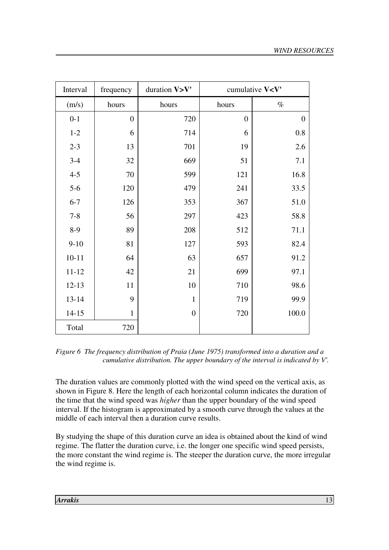| Interval  | frequency      | duration V>V'  | cumulative V <v'< th=""></v'<> |          |  |  |  |
|-----------|----------------|----------------|--------------------------------|----------|--|--|--|
| (m/s)     | hours          | hours          | hours                          | $\%$     |  |  |  |
| $0 - 1$   | $\overline{0}$ | 720            | $\overline{0}$                 | $\theta$ |  |  |  |
| $1-2$     | 6              | 714            | 6                              | $0.8\,$  |  |  |  |
| $2 - 3$   | 13             | 701            | 19                             | 2.6      |  |  |  |
| $3-4$     | 32             | 669            | 51                             | 7.1      |  |  |  |
| $4 - 5$   | 70             | 599            | 121                            | 16.8     |  |  |  |
| $5-6$     | 120            | 479            | 241                            | 33.5     |  |  |  |
| $6 - 7$   | 126            | 353            | 367                            | 51.0     |  |  |  |
| $7 - 8$   | 56             | 297            | 423                            | 58.8     |  |  |  |
| $8-9$     | 89             | 208            | 512                            | 71.1     |  |  |  |
| $9 - 10$  | 81             | 127            | 593                            | 82.4     |  |  |  |
| $10 - 11$ | 64             | 63             | 657                            | 91.2     |  |  |  |
| $11 - 12$ | 42             | 21             | 699                            | 97.1     |  |  |  |
| $12 - 13$ | 11             | 10             | 710                            | 98.6     |  |  |  |
| $13 - 14$ | 9              | $\mathbf{1}$   | 719                            | 99.9     |  |  |  |
| $14 - 15$ | $\mathbf{1}$   | $\overline{0}$ | 720                            | 100.0    |  |  |  |
| Total     | 720            |                |                                |          |  |  |  |

*Figure 6 The frequency distribution of Praia (June 1975) transformed into a duration and a cumulative distribution. The upper boundary of the interval is indicated by V'.* 

The duration values are commonly plotted with the wind speed on the vertical axis, as shown in Figure 8. Here the length of each horizontal column indicates the duration of the time that the wind speed was *higher* than the upper boundary of the wind speed interval. If the histogram is approximated by a smooth curve through the values at the middle of each interval then a duration curve results.

By studying the shape of this duration curve an idea is obtained about the kind of wind regime. The flatter the duration curve, i.e. the longer one specific wind speed persists, the more constant the wind regime is. The steeper the duration curve, the more irregular the wind regime is.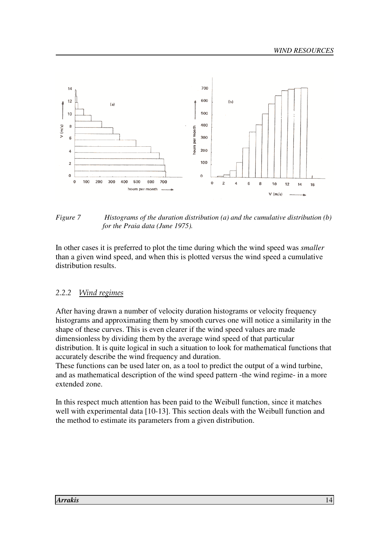

*Figure 7 Histograms of the duration distribution (a) and the cumulative distribution (b) for the Praia data (June 1975).* 

In other cases it is preferred to plot the time during which the wind speed was *smaller* than a given wind speed, and when this is plotted versus the wind speed a cumulative distribution results.

#### 2.2.2 Wind regimes

After having drawn a number of velocity duration histograms or velocity frequency histograms and approximating them by smooth curves one will notice a similarity in the shape of these curves. This is even clearer if the wind speed values are made dimensionless by dividing them by the average wind speed of that particular distribution. It is quite logical in such a situation to look for mathematical functions that accurately describe the wind frequency and duration.

These functions can be used later on, as a tool to predict the output of a wind turbine, and as mathematical description of the wind speed pattern -the wind regime- in a more extended zone.

In this respect much attention has been paid to the Weibull function, since it matches well with experimental data [10-13]. This section deals with the Weibull function and the method to estimate its parameters from a given distribution.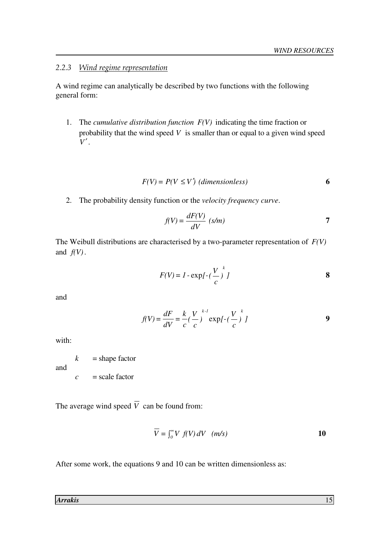#### 2.2.3 Wind regime representation

A wind regime can analytically be described by two functions with the following general form:

 1. The *cumulative distribution function F(V)* indicating the time fraction or probability that the wind speed *V* is smaller than or equal to a given wind speed *V*′.

$$
F(V) = P(V \le V') \text{ (dimensionless)}
$$
 6

2. The probability density function or the *velocity frequency curve*.

$$
f(V) = \frac{dF(V)}{dV} \ (s/m) \tag{7}
$$

The Weibull distributions are characterised by a two-parameter representation of *F(V)* and  $f(V)$ .

$$
F(V) = I - \exp\left[-\left(\frac{V}{c}\right)^k I\right]
$$

and

$$
f(V) = \frac{dF}{dV} = \frac{k}{c} \left(\frac{V}{c}\right)^{k-l} \exp\left[-\left(\frac{V}{c}\right)^{k}\right]
$$

with:

and

$$
k = \text{shape factor}
$$

 $c = scale factor$ 

The average wind speed  $\overline{V}$  can be found from:

$$
\overline{V} = \int_0^\infty V f(V) \, dV \quad (m/s)
$$

After some work, the equations 9 and 10 can be written dimensionless as:

*Arrakis* 15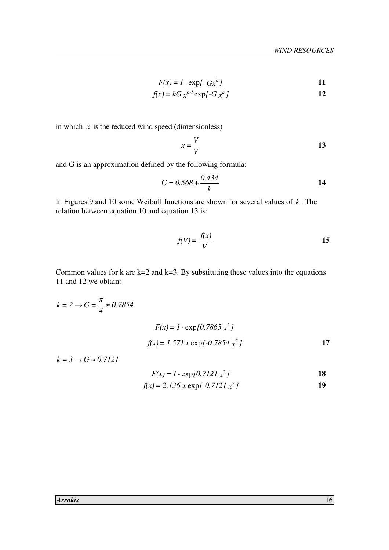$$
F(x) = 1 - \exp\{-Gx^k\}
$$

$$
f(x) = kG x^{k-1} \exp\left[-G x^k\right]
$$
 12

in which  $x$  is the reduced wind speed (dimensionless)

$$
x = \frac{V}{\overline{V}}
$$
 13

and G is an approximation defined by the following formula:

$$
G = 0.568 + \frac{0.434}{k}
$$

In Figures 9 and 10 some Weibull functions are shown for several values of *k* . The relation between equation 10 and equation 13 is:

$$
f(V) = \frac{f(x)}{\overline{V}}
$$
15

Common values for  $k$  are  $k=2$  and  $k=3$ . By substituting these values into the equations 11 and 12 we obtain:

$$
k = 2 \rightarrow G = \frac{\pi}{4} \approx 0.7854
$$
  

$$
F(x) = 1 - \exp\{0.7865 x^2\}
$$
  

$$
f(x) = 1.571 x \exp\{-0.7854 x^2\}
$$

 $k = 3 \rightarrow G \approx 0.7121$ 

$$
F(x) = 1 - \exp[0.7121 \, x^2]
$$

$$
f(x) = 2.136 \, x \exp\{-0.7121 \, x^2\}
$$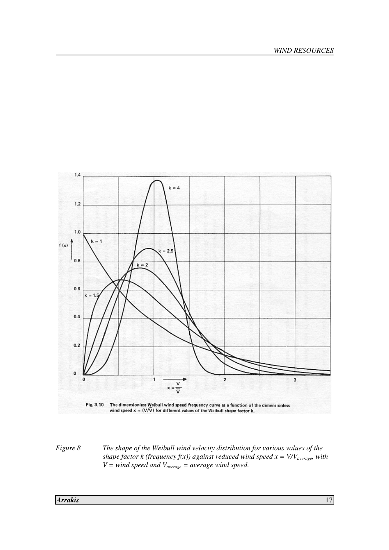

*Figure 8 The shape of the Weibull wind velocity distribution for various values of the shape factor k (frequency f(x)) against reduced wind speed x = V/Vaverage, with V = wind speed and Vaverage = average wind speed.*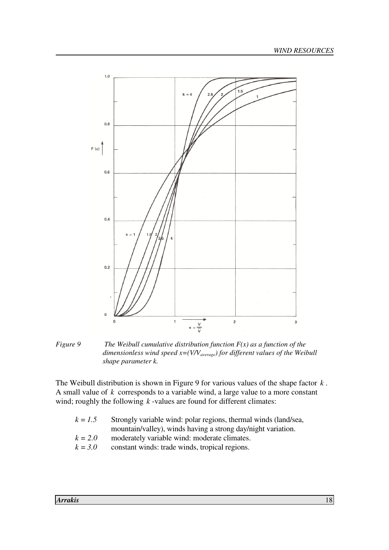

*Figure 9 The Weibull cumulative distribution function F(x) as a function of the dimensionless wind speed x=(V/Vaverage) for different values of the Weibull shape parameter k.* 

The Weibull distribution is shown in Figure 9 for various values of the shape factor *k* . A small value of *k* corresponds to a variable wind, a large value to a more constant wind; roughly the following *k*-values are found for different climates:

| $k = 1.5$ | Strongly variable wind: polar regions, thermal winds (land/sea, |
|-----------|-----------------------------------------------------------------|
|           | mountain/valley), winds having a strong day/night variation.    |
| $k = 2.0$ | moderately variable wind: moderate climates.                    |
| $k = 3.0$ | constant winds: trade winds, tropical regions.                  |
|           |                                                                 |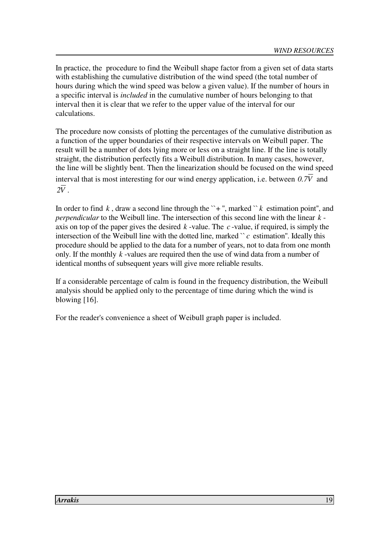In practice, the procedure to find the Weibull shape factor from a given set of data starts with establishing the cumulative distribution of the wind speed (the total number of hours during which the wind speed was below a given value). If the number of hours in a specific interval is *included* in the cumulative number of hours belonging to that interval then it is clear that we refer to the upper value of the interval for our calculations.

The procedure now consists of plotting the percentages of the cumulative distribution as a function of the upper boundaries of their respective intervals on Weibull paper. The result will be a number of dots lying more or less on a straight line. If the line is totally straight, the distribution perfectly fits a Weibull distribution. In many cases, however, the line will be slightly bent. Then the linearization should be focused on the wind speed interval that is most interesting for our wind energy application, i.e. between  $0.7\overline{V}$  and  $2\overline{V}$  .

In order to find  $k$ , draw a second line through the  $\rightarrow$  +", marked  $\rightarrow$   $k$  estimation point", and *perpendicular* to the Weibull line. The intersection of this second line with the linear *k* axis on top of the paper gives the desired *k* -value. The *c* -value, if required, is simply the intersection of the Weibull line with the dotted line, marked  $\degree c$  estimation". Ideally this procedure should be applied to the data for a number of years, not to data from one month only. If the monthly *k* -values are required then the use of wind data from a number of identical months of subsequent years will give more reliable results.

If a considerable percentage of calm is found in the frequency distribution, the Weibull analysis should be applied only to the percentage of time during which the wind is blowing [16].

For the reader's convenience a sheet of Weibull graph paper is included.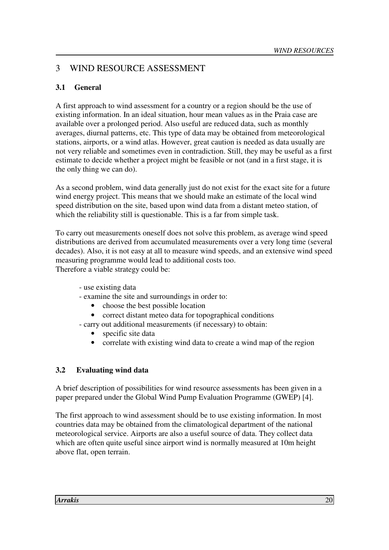## 3 WIND RESOURCE ASSESSMENT

#### **3.1 General**

A first approach to wind assessment for a country or a region should be the use of existing information. In an ideal situation, hour mean values as in the Praia case are available over a prolonged period. Also useful are reduced data, such as monthly averages, diurnal patterns, etc. This type of data may be obtained from meteorological stations, airports, or a wind atlas. However, great caution is needed as data usually are not very reliable and sometimes even in contradiction. Still, they may be useful as a first estimate to decide whether a project might be feasible or not (and in a first stage, it is the only thing we can do).

As a second problem, wind data generally just do not exist for the exact site for a future wind energy project. This means that we should make an estimate of the local wind speed distribution on the site, based upon wind data from a distant meteo station, of which the reliability still is questionable. This is a far from simple task.

To carry out measurements oneself does not solve this problem, as average wind speed distributions are derived from accumulated measurements over a very long time (several decades). Also, it is not easy at all to measure wind speeds, and an extensive wind speed measuring programme would lead to additional costs too. Therefore a viable strategy could be:

- use existing data
- examine the site and surroundings in order to:
	- choose the best possible location
	- correct distant meteo data for topographical conditions
- carry out additional measurements (if necessary) to obtain:
	- specific site data
	- correlate with existing wind data to create a wind map of the region

#### **3.2 Evaluating wind data**

A brief description of possibilities for wind resource assessments has been given in a paper prepared under the Global Wind Pump Evaluation Programme (GWEP) [4].

The first approach to wind assessment should be to use existing information. In most countries data may be obtained from the climatological department of the national meteorological service. Airports are also a useful source of data. They collect data which are often quite useful since airport wind is normally measured at 10m height above flat, open terrain.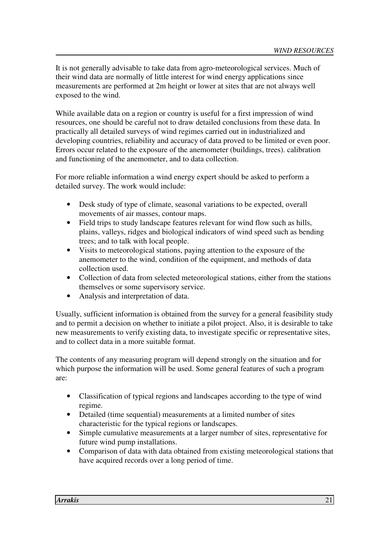It is not generally advisable to take data from agro-meteorological services. Much of their wind data are normally of little interest for wind energy applications since measurements are performed at 2m height or lower at sites that are not always well exposed to the wind.

While available data on a region or country is useful for a first impression of wind resources, one should be careful not to draw detailed conclusions from these data. In practically all detailed surveys of wind regimes carried out in industrialized and developing countries, reliability and accuracy of data proved to be limited or even poor. Errors occur related to the exposure of the anemometer (buildings, trees). calibration and functioning of the anemometer, and to data collection.

For more reliable information a wind energy expert should be asked to perform a detailed survey. The work would include:

- Desk study of type of climate, seasonal variations to be expected, overall movements of air masses, contour maps.
- Field trips to study landscape features relevant for wind flow such as hills, plains, valleys, ridges and biological indicators of wind speed such as bending trees; and to talk with local people.
- Visits to meteorological stations, paying attention to the exposure of the anemometer to the wind, condition of the equipment, and methods of data collection used.
- Collection of data from selected meteorological stations, either from the stations themselves or some supervisory service.
- Analysis and interpretation of data.

Usually, sufficient information is obtained from the survey for a general feasibility study and to permit a decision on whether to initiate a pilot project. Also, it is desirable to take new measurements to verify existing data, to investigate specific or representative sites, and to collect data in a more suitable format.

The contents of any measuring program will depend strongly on the situation and for which purpose the information will be used. Some general features of such a program are:

- Classification of typical regions and landscapes according to the type of wind regime.
- Detailed (time sequential) measurements at a limited number of sites characteristic for the typical regions or landscapes.
- Simple cumulative measurements at a larger number of sites, representative for future wind pump installations.
- Comparison of data with data obtained from existing meteorological stations that have acquired records over a long period of time.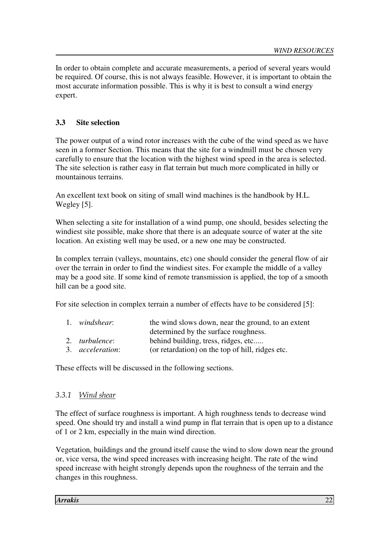In order to obtain complete and accurate measurements, a period of several years would be required. Of course, this is not always feasible. However, it is important to obtain the most accurate information possible. This is why it is best to consult a wind energy expert.

#### **3.3 Site selection**

The power output of a wind rotor increases with the cube of the wind speed as we have seen in a former Section. This means that the site for a windmill must be chosen very carefully to ensure that the location with the highest wind speed in the area is selected. The site selection is rather easy in flat terrain but much more complicated in hilly or mountainous terrains.

An excellent text book on siting of small wind machines is the handbook by H.L. Wegley [5].

When selecting a site for installation of a wind pump, one should, besides selecting the windiest site possible, make shore that there is an adequate source of water at the site location. An existing well may be used, or a new one may be constructed.

In complex terrain (valleys, mountains, etc) one should consider the general flow of air over the terrain in order to find the windiest sites. For example the middle of a valley may be a good site. If some kind of remote transmission is applied, the top of a smooth hill can be a good site.

For site selection in complex terrain a number of effects have to be considered [5]:

| 1. windshear:            | the wind slows down, near the ground, to an extent |
|--------------------------|----------------------------------------------------|
|                          | determined by the surface roughness.               |
| 2. <i>turbulence</i> :   | behind building, tress, ridges, etc                |
| 3. <i>acceleration</i> : | (or retardation) on the top of hill, ridges etc.   |

These effects will be discussed in the following sections.

#### 3.3.1 Wind shear

The effect of surface roughness is important. A high roughness tends to decrease wind speed. One should try and install a wind pump in flat terrain that is open up to a distance of 1 or 2 km, especially in the main wind direction.

Vegetation, buildings and the ground itself cause the wind to slow down near the ground or, vice versa, the wind speed increases with increasing height. The rate of the wind speed increase with height strongly depends upon the roughness of the terrain and the changes in this roughness.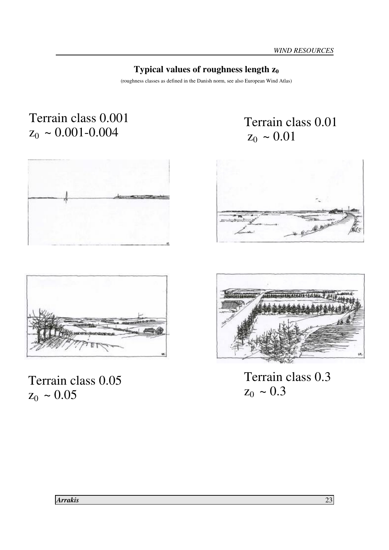# **Typical values of roughness length z<sup>0</sup>**

(roughness classes as defined in the Danish norm, see also European Wind Atlas)

# Terrain class 0.001  $z_0 \sim 0.001 - 0.004$







Terrain class 0.05  $z_0 \sim 0.05$ 





Terrain class 0.3  $z_0 \sim 0.3$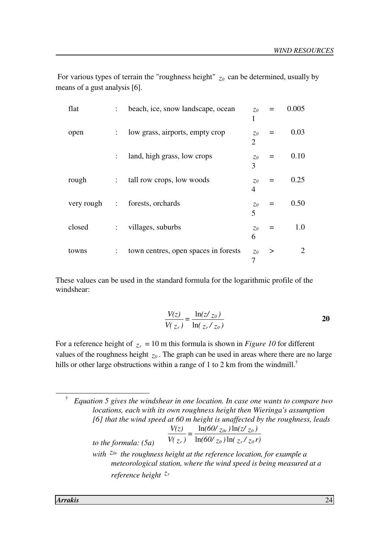| For various types of terrain the "roughness height" $z_0$ can be determined, usually by |  |  |
|-----------------------------------------------------------------------------------------|--|--|
| means of a gust analysis [6].                                                           |  |  |

| flat       | ÷                    | beach, ice, snow landscape, ocean    | 70                      |   | 0.005          |
|------------|----------------------|--------------------------------------|-------------------------|---|----------------|
| open       | $\ddot{\phantom{a}}$ | low grass, airports, empty crop      | $Z_0$<br>$\overline{2}$ |   | 0.03           |
|            | $\ddot{\cdot}$       | land, high grass, low crops          | $Z_0$<br>3              |   | 0.10           |
| rough      | ÷                    | tall row crops, low woods            | $\zeta o$<br>4          |   | 0.25           |
| very rough | ÷                    | forests, orchards                    | $\zeta o$<br>5          |   | 0.50           |
| closed     | ÷                    | villages, suburbs                    | $Z_0$<br>6              |   | 1.0            |
| towns      | $\ddot{\phantom{a}}$ | town centres, open spaces in forests | $Z_0$<br>7              | > | $\overline{2}$ |

These values can be used in the standard formula for the logarithmic profile of the windshear:

$$
\frac{V(z)}{V(z_r)} = \frac{\ln(z/z_0)}{\ln(z_r/z_0)}
$$

For a reference height of  $z_r = 10$  m this formula is shown in *Figure 10* for different values of the roughness height *z<sup>0</sup>* . The graph can be used in areas where there are no large hills or other large obstructions within a range of 1 to 2 km from the windmill.<sup>†</sup>

† *Equation 5 gives the windshear in one location. In case one wants to compare two locations, each with its own roughness height then Wieringa's assumption [6] that the wind speed at 60 m height is unaffected by the roughness, leads to the formula:*  $(5a)$  *(b)*  $V(z_r)$   $\ln(60/z_0) \ln(z_r/z_0 r)$  $=\frac{\ln(60/\text{z}_{0r})\ln(2/\text{z}_{0})}{\ln(60/\text{z}_{0})}$  $V(z_r)$ *V(z)*  $\alpha$  *f* **10**  $Z_r$  *f*  $Z_0$  $_{0r}$  *)* 111(  $\omega$   $z_0$ *r*)  $ln(60/z_0)$ ln  $ln(60/\zeta_{0r})$ ln  *with z0r the roughness height at the reference location, for example a meteorological station, where the wind speed is being measured at a reference height z<sup>r</sup>*

-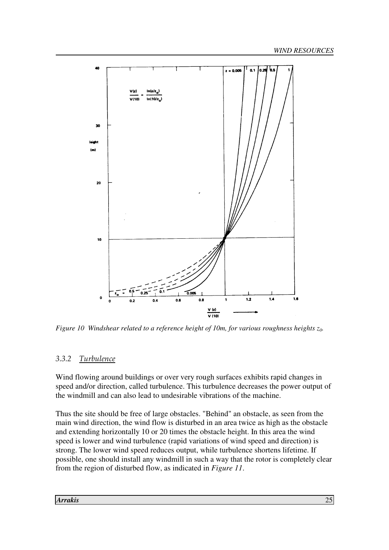

*Figure 10 Windshear related to a reference height of 10m, for various roughness heights z0.* 

# 3.3.2 Turbulence

Wind flowing around buildings or over very rough surfaces exhibits rapid changes in speed and/or direction, called turbulence. This turbulence decreases the power output of the windmill and can also lead to undesirable vibrations of the machine.

Thus the site should be free of large obstacles. "Behind" an obstacle, as seen from the main wind direction, the wind flow is disturbed in an area twice as high as the obstacle and extending horizontally 10 or 20 times the obstacle height. In this area the wind speed is lower and wind turbulence (rapid variations of wind speed and direction) is strong. The lower wind speed reduces output, while turbulence shortens lifetime. If possible, one should install any windmill in such a way that the rotor is completely clear from the region of disturbed flow, as indicated in *Figure 11*.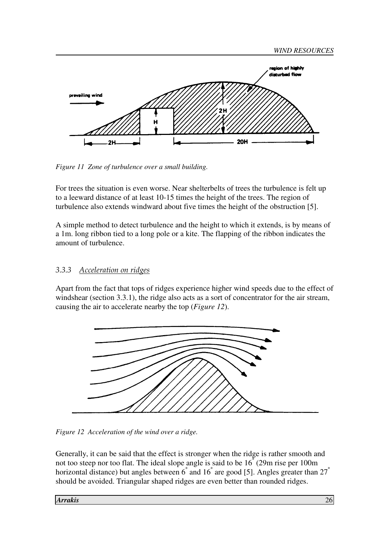



*Figure 11 Zone of turbulence over a small building.* 

For trees the situation is even worse. Near shelterbelts of trees the turbulence is felt up to a leeward distance of at least 10-15 times the height of the trees. The region of turbulence also extends windward about five times the height of the obstruction [5].

A simple method to detect turbulence and the height to which it extends, is by means of a 1m. long ribbon tied to a long pole or a kite. The flapping of the ribbon indicates the amount of turbulence.

#### 3.3.3 Acceleration on ridges

Apart from the fact that tops of ridges experience higher wind speeds due to the effect of windshear (section 3.3.1), the ridge also acts as a sort of concentrator for the air stream, causing the air to accelerate nearby the top (*Figure 12*).



*Figure 12 Acceleration of the wind over a ridge.* 

Generally, it can be said that the effect is stronger when the ridge is rather smooth and not too steep nor too flat. The ideal slope angle is said to be 16° (29m rise per 100m horizontal distance) but angles between 6<sup>°</sup> and 16<sup>°</sup> are good [5]. Angles greater than 27<sup>°</sup> should be avoided. Triangular shaped ridges are even better than rounded ridges.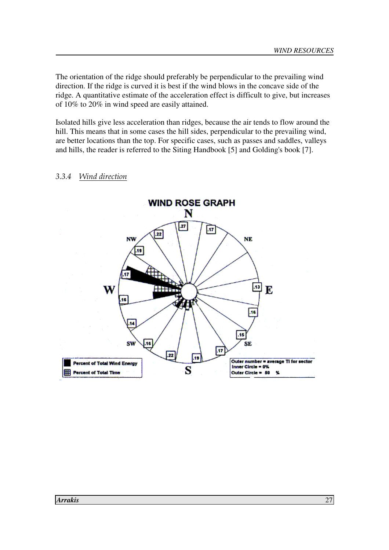The orientation of the ridge should preferably be perpendicular to the prevailing wind direction. If the ridge is curved it is best if the wind blows in the concave side of the ridge. A quantitative estimate of the acceleration effect is difficult to give, but increases of 10% to 20% in wind speed are easily attained.

Isolated hills give less acceleration than ridges, because the air tends to flow around the hill. This means that in some cases the hill sides, perpendicular to the prevailing wind, are better locations than the top. For specific cases, such as passes and saddles, valleys and hills, the reader is referred to the Siting Handbook [5] and Golding's book [7].

#### 3.3.4 Wind direction

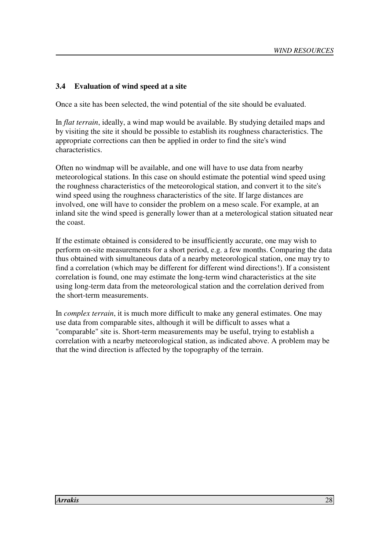#### **3.4 Evaluation of wind speed at a site**

Once a site has been selected, the wind potential of the site should be evaluated.

In *flat terrain*, ideally, a wind map would be available. By studying detailed maps and by visiting the site it should be possible to establish its roughness characteristics. The appropriate corrections can then be applied in order to find the site's wind characteristics.

Often no windmap will be available, and one will have to use data from nearby meteorological stations. In this case on should estimate the potential wind speed using the roughness characteristics of the meteorological station, and convert it to the site's wind speed using the roughness characteristics of the site. If large distances are involved, one will have to consider the problem on a meso scale. For example, at an inland site the wind speed is generally lower than at a meterological station situated near the coast.

If the estimate obtained is considered to be insufficiently accurate, one may wish to perform on-site measurements for a short period, e.g. a few months. Comparing the data thus obtained with simultaneous data of a nearby meteorological station, one may try to find a correlation (which may be different for different wind directions!). If a consistent correlation is found, one may estimate the long-term wind characteristics at the site using long-term data from the meteorological station and the correlation derived from the short-term measurements.

In *complex terrain*, it is much more difficult to make any general estimates. One may use data from comparable sites, although it will be difficult to asses what a "comparable" site is. Short-term measurements may be useful, trying to establish a correlation with a nearby meteorological station, as indicated above. A problem may be that the wind direction is affected by the topography of the terrain.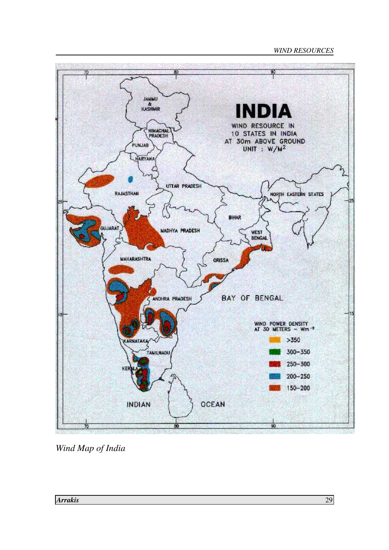#### *WIND RESOURCES*



*Wind Map of India*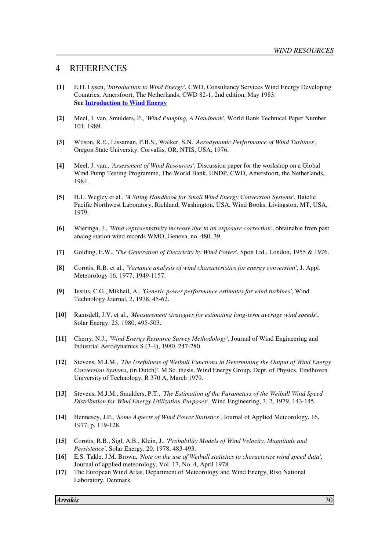#### 4 REFERENCES

- **[1]** E.H. Lysen, *'Introduction to Wind Energy'*, CWD, Consultancy Services Wind Energy Developing Countries, Amersfoort, The Netherlands, CWD 82-1, 2nd edition, May 1983.  **See Introduction to Wind Energy**
- **[2]** Meel, J. van, Smulders, P., *'Wind Pumping, A Handbook'*, World Bank Technical Paper Number 101, 1989.
- **[3]** Wilson, R.E., Lissaman, P.B.S., Walker, S.N. *'Aerodynamic Performance of Wind Turbines'*, Oregon State University, Corvallis, OR, NTIS, USA, 1976.
- **[4]** Meel, J. van., *'Assessment of Wind Resources'*, Discussion paper for the workshop on a Global Wind Pump Testing Programme, The World Bank, UNDP, CWD, Amersfoort, the Netherlands, 1984.
- **[5]** H.L. Wegley et al., *'A Siting Handbook for Small Wind Energy Conversion Systems'*, Batelle Pacific Northwest Laboratory, Richland, Washington, USA, Wind Books, Livingston, MT, USA, 1979.
- **[6]** Wieringa, J., *'Wind representativity increase due to an exposure correction'*, obtainable from past analog station wind records WMO, Geneva, no. 480, 39.
- **[7]** Golding, E.W., *'The Generation of Electricity by Wind Power'*, Spon Ltd., London, 1955 & 1976.
- **[8]** Corotis, R.B. et al., *'Variance analysis of wind characteristics for energy conversion'*, J. Appl. Meteorology 16, 1977, 1949-1157.
- **[9]** Justus, C.G., Mikhail, A., *'Generic power performance estimates for wind turbines'*, Wind Technology Journal, 2, 1978, 45-62.
- **[10]** Ramsdell, J.V. et al., *'Measurement strategies for estimating long-term average wind speeds'*, Solar Energy, 25, 1980, 495-503.
- **[11]** Cherry, N.J., *'Wind Energy Resource Survey Methodology'*, Journal of Wind Engineering and Industrial Aerodynamics S (3-4), 1980, 247-280.
- **[12]** Stevens, M.J.M., *'The Usefulness of Weibull Functions in Determining the Output of Wind Energy Conversion Systems*, (in Dutch)*'*, M.Sc. thesis, Wind Energy Group, Dept. of Physics, Eindhoven University of Technology, R 370 A, March 1979.
- **[13]** Stevens, M.J.M., Smulders, P.T., *'The Estimation of the Parameters of the Weibull Wind Speed Distribution for Wind Energy Utilization Purposes'*, Wind Engineering, 3, 2, 1979, 143-145.
- **[14]** Hennesey, J.P., *'Some Aspects of Wind Power Statistics'*, Journal of Applied Meteorology, 16, 1977, p. 119-128.
- **[15]** Corotis, R.B., Sigl, A.B., Klein, J., *'Probability Models of Wind Velocity, Magnitude and Persistence'*, Solar Energy, 20, 1978, 483-493.
- **[16]** E.S. Takle, J.M. Brown, *'Note on the use of Weibull statistics to characterize wind speed data'*, Journal of applied meteorology, Vol. 17, No. 4, April 1978.
- **[17]** The European Wind Atlas, Department of Meteorology and Wind Energy, Riso National Laboratory, Denmark

*Arrakis* 30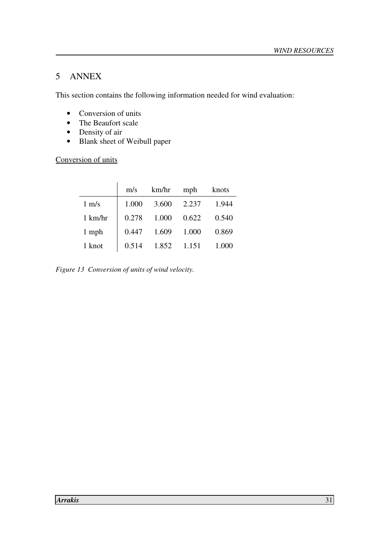### 5 ANNEX

This section contains the following information needed for wind evaluation:

- Conversion of units
- The Beaufort scale
- Density of air
- Blank sheet of Weibull paper

Conversion of units

|                   | m/s   | km/hr | mph   | knots |
|-------------------|-------|-------|-------|-------|
| $1 \text{ m/s}$   | 1.000 | 3.600 | 2.237 | 1.944 |
| $1 \text{ km/hr}$ | 0.278 | 1.000 | 0.622 | 0.540 |
| 1 mph             | 0.447 | 1.609 | 1.000 | 0.869 |
| 1 knot            | 0.514 | 1.852 | 1.151 | 1.000 |

*Figure 13 Conversion of units of wind velocity.*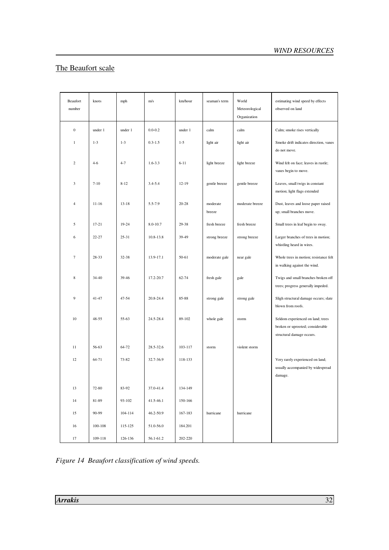# The Beaufort scale

| Beaufort<br>knots<br>number |                  | mph       | m/s       | km/hour     | seaman's term | World<br>Meteorological<br>Organization | estimating wind speed by effects<br>observed on land |                                                                                                    |
|-----------------------------|------------------|-----------|-----------|-------------|---------------|-----------------------------------------|------------------------------------------------------|----------------------------------------------------------------------------------------------------|
|                             | $\boldsymbol{0}$ | under 1   | under 1   | $0.0 - 0.2$ | under 1       | calm                                    | calm                                                 | Calm; smoke rises vertically                                                                       |
|                             | $\mathbf{1}$     | $1 - 3$   | $1 - 3$   | $0.3 - 1.5$ | $1 - 5$       | light air                               | light air                                            | Smoke drift indicates direction, vanes<br>do not move.                                             |
|                             | $\overline{c}$   | $4 - 6$   | $4 - 7$   | $1.6 - 3.3$ | $6 - 11$      | light breeze                            | light breeze                                         | Wind felt on face; leaves in rustle;<br>vanes begin to move.                                       |
|                             | 3                | $7 - 10$  | $8 - 12$  | $3.4 - 5.4$ | $12 - 19$     | gentle breeze                           | gentle breeze                                        | Leaves, small twigs in constant<br>motion; light flags extended                                    |
|                             | 4                | $11 - 16$ | $13 - 18$ | 5.5-7.9     | $20 - 28$     | moderate<br>breeze                      | moderate breeze                                      | Dust, leaves and loose paper raised<br>up; small branches move.                                    |
|                             | 5                | $17 - 21$ | 19-24     | 8.0-10.7    | 29-38         | fresh breeze                            | fresh breeze                                         | Small trees in leaf begin to sway.                                                                 |
|                             | 6                | $22 - 27$ | $25 - 31$ | 10.8-13.8   | 39-49         | strong breeze                           | strong breeze                                        | Larger branches of trees in motion;<br>whistling heard in wires.                                   |
|                             | $\overline{7}$   | 28-33     | $32 - 38$ | 13.9-17.1   | 50-61         | moderate gale                           | near gale                                            | Whole trees in motion; resistance felt<br>in walking against the wind.                             |
|                             | 8                | 34-40     | 39-46     | 17.2-20.7   | $62 - 74$     | fresh gale                              | gale                                                 | Twigs and small branches broken off<br>trees; progress generally impeded.                          |
|                             | 9                | $41 - 47$ | $47 - 54$ | 20.8-24.4   | 85-88         | strong gale                             | strong gale                                          | Sligh structural damage occurs; slate<br>blown from roofs.                                         |
|                             | 10               | $48 - 55$ | 55-63     | 24.5-28.4   | 89-102        | whole gale                              | storm                                                | Seldom experienced on land; trees<br>broken or uprooted; considerable<br>structural damage occurs. |
|                             | 11               | 56-63     | 64-72     | 28.5-32.6   | 103-117       | storm                                   | violent storm                                        |                                                                                                    |
|                             | 12               | 64-71     | 73-82     | 32.7-36.9   | 118-133       |                                         |                                                      | Very rarely experienced on land;<br>usually accompanied by widespread<br>damage.                   |
|                             | 13               | 72-80     | 83-92     | 37.0-41.4   | 134-149       |                                         |                                                      |                                                                                                    |
|                             | 14               | 81-89     | 93-102    | 41.5-46.1   | 150-166       |                                         |                                                      |                                                                                                    |
|                             | 15               | 90-99     | 104-114   | 46.2-50.9   | 167-183       | hurricane                               | hurricane                                            |                                                                                                    |
|                             | 16               | 100-108   | 115-125   | 51.0-56.0   | 184.201       |                                         |                                                      |                                                                                                    |
|                             | 17               | 109-118   | 126-136   | 56.1-61.2   | 202-220       |                                         |                                                      |                                                                                                    |

*Figure 14 Beaufort classification of wind speeds.*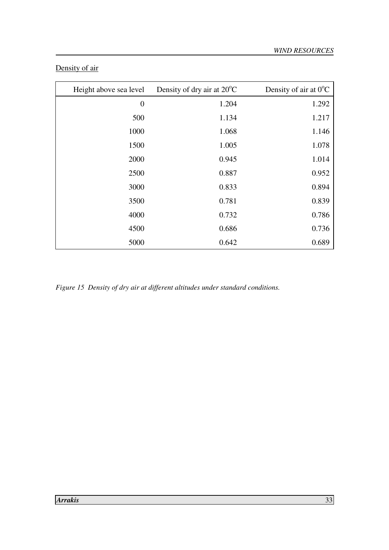# Density of air

| Height above sea level | Density of dry air at $20^{\circ}$ C | Density of air at $0^{\circ}$ C |
|------------------------|--------------------------------------|---------------------------------|
| $\boldsymbol{0}$       | 1.204                                | 1.292                           |
| 500                    | 1.134                                | 1.217                           |
| 1000                   | 1.068                                | 1.146                           |
| 1500                   | 1.005                                | 1.078                           |
| 2000                   | 0.945                                | 1.014                           |
| 2500                   | 0.887                                | 0.952                           |
| 3000                   | 0.833                                | 0.894                           |
| 3500                   | 0.781                                | 0.839                           |
| 4000                   | 0.732                                | 0.786                           |
| 4500                   | 0.686                                | 0.736                           |
| 5000                   | 0.642                                | 0.689                           |

*Figure 15 Density of dry air at different altitudes under standard conditions.*